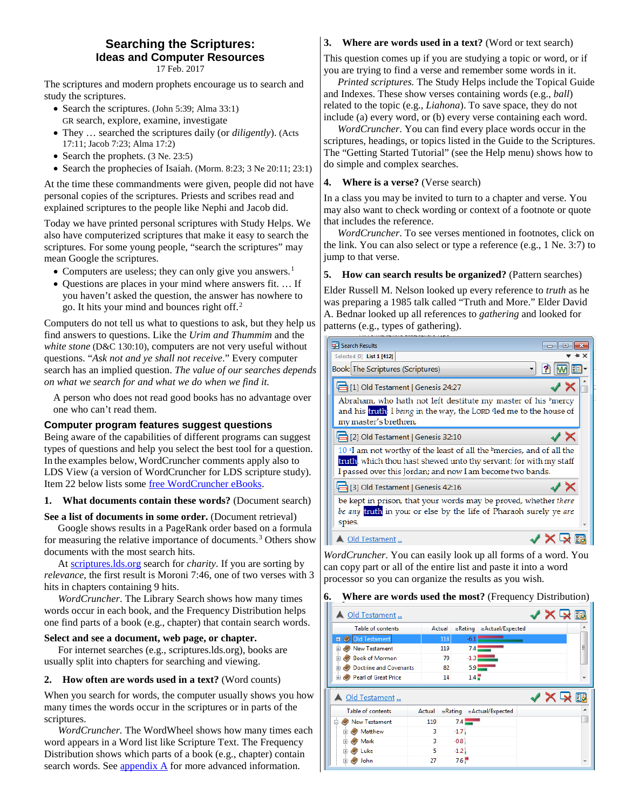#### **Searching the Scriptures: Ideas and Computer Resources** 17 Feb. 2017

The scriptures and modern prophets encourage us to search and study the scriptures.

- Search the scriptures. (John 5:39; Alma 33:1) GR search, explore, examine, investigate
- They … searched the scriptures daily (or *diligently*). (Acts 17:11; Jacob 7:23; Alma 17:2)
- Search the prophets. (3 Ne. 23:5)
- Search the prophecies of Isaiah. (Morm. 8:23; 3 Ne 20:11; 23:1)

At the time these commandments were given, people did not have personal copies of the scriptures. Priests and scribes read and explained scriptures to the people like Nephi and Jacob did.

Today we have printed personal scriptures with Study Helps. We also have computerized scriptures that make it easy to search the scriptures. For some young people, "search the scriptures" may mean Google the scriptures.

- Computers are useless; they can only give you answers.<sup>[1](#page-4-1)</sup>
- Questions are places in your mind where answers fit. … If you haven't asked the question, the answer has nowhere to go. It hits your mind and bounces right off.[2](#page-4-2)

Computers do not tell us what to questions to ask, but they help us find answers to questions. Like the *Urim and Thummim* and the *white stone* (D&C 130:10), computers are not very useful without questions. "*Ask not and ye shall not receive*." Every computer search has an implied question. *The value of our searches depends on what we search for and what we do when we find it.*

A person who does not read good books has no advantage over one who can't read them.

#### **Computer program features suggest questions**

Being aware of the capabilities of different programs can suggest types of questions and help you select the best tool for a question. In the examples below, WordCruncher comments apply also to LDS View (a version of WordCruncher for LDS scripture study). Item 22 below lists som[e free WordCruncher eBooks.](#page-4-0)

#### **1. What documents contain these words?** (Document search)

**See a list of documents in some order.** (Document retrieval)

Google shows results in a PageRank order based on a formula for measuring the relative importance of documents.<sup>[3](#page-4-3)</sup> Others show documents with the most search hits.

At [scriptures.lds.org](http://scriptures.lds.org/) search for *charity*. If you are sorting by *relevance*, the first result is Moroni 7:46, one of two verses with 3 hits in chapters containing 9 hits.

*WordCruncher*. The Library Search shows how many times words occur in each book, and the Frequency Distribution helps one find parts of a book (e.g., chapter) that contain search words.

#### **Select and see a document, web page, or chapter.**

For internet searches (e.g., scriptures.lds.org), books are usually split into chapters for searching and viewing.

#### **2. How often are words used in a text?** (Word counts)

When you search for words, the computer usually shows you how many times the words occur in the scriptures or in parts of the scriptures.

*WordCruncher.* The WordWheel shows how many times each word appears in a Word list like Scripture Text. The Frequency Distribution shows which parts of a book (e.g., chapter) contain search words. Se[e appendix A](#page-6-0) for more advanced information.

#### **3. Where are words used in a text?** (Word or text search)

This question comes up if you are studying a topic or word, or if you are trying to find a verse and remember some words in it.

*Printed scriptures.* The Study Helps include the Topical Guide and Indexes. These show verses containing words (e.g., *ball*) related to the topic (e.g., *Liahona*). To save space, they do not include (a) every word, or (b) every verse containing each word.

*WordCruncher*. You can find every place words occur in the scriptures, headings, or topics listed in the Guide to the Scriptures. The "Getting Started Tutorial" (see the Help menu) shows how to do simple and complex searches.

**4. Where is a verse?** (Verse search)

In a class you may be invited to turn to a chapter and verse. You may also want to check wording or context of a footnote or quote that includes the reference.

*WordCruncher*. To see verses mentioned in footnotes, click on the link. You can also select or type a reference (e.g., 1 Ne. 3:7) to jump to that verse.

#### **5. How can search results be organized?** (Pattern searches)

Elder Russell M. Nelson looked up every reference to *truth* as he was preparing a 1985 talk called "Truth and More." Elder David A. Bednar looked up all references to *gathering* and looked for patterns (e.g., types of gathering).

| Search Results<br>---                                                                                                                                                                                                            | $\Box$ |
|----------------------------------------------------------------------------------------------------------------------------------------------------------------------------------------------------------------------------------|--------|
| Selected [0] List 1 [412]                                                                                                                                                                                                        |        |
| Book: The Scriptures (Scriptures)                                                                                                                                                                                                |        |
| $\exists$ [1] Old Testament   Genesis 24:27                                                                                                                                                                                      |        |
| Abraham, who hath not left destitute my master of his <sup>b</sup> mercy<br>and his truth: I being in the way, the LORD <sup>o</sup> led me to the house of<br>my master's brethren.                                             |        |
| [2] Old Testament   Genesis 32:10                                                                                                                                                                                                |        |
| $10$ <sup>a</sup> I am not worthy of the least of all the <sup>b</sup> mercies, and of all the<br>truth, which thou hast shewed unto thy servant; for with my staff<br>I passed over this Jordan; and now I am become two bands. |        |
| 3] Old Testament   Genesis 42:16                                                                                                                                                                                                 |        |
| be kept in prison, that your words may be proved, whether there<br>be any truth in you: or else by the life of Pharaoh surely ye are<br>spies.                                                                                   |        |
| ld Testament                                                                                                                                                                                                                     |        |

*WordCruncher*. You can easily look up all forms of a word. You can copy part or all of the entire list and paste it into a word processor so you can organize the results as you wish.

#### **6. Where are words used the most?** (Frequency Distribution)

| Old Testament                  |        |        |                  |                          |  | 同評 |
|--------------------------------|--------|--------|------------------|--------------------------|--|----|
| Table of contents              | Actual |        | $\approx$ Rating | ≈Actual/Expected         |  |    |
| Old Testament<br>田             |        | 118    | $-6.1$           |                          |  |    |
| <b>New Testament</b><br>÷      |        | 119    | 7.4              |                          |  | Ξ  |
| <b>Book of Mormon</b><br>÷     |        | 79     | $-1.3$           |                          |  |    |
| Doctrine and Covenants<br>$+$  |        | 82     |                  | $5.9$ $-$                |  |    |
| <b>El Pearl of Great Price</b> |        | 14     | $1.4 -$          |                          |  |    |
|                                |        |        |                  |                          |  |    |
| Old Testament                  |        |        |                  |                          |  |    |
| Table of contents              | Actual |        |                  | ≈Rating ≈Actual/Expected |  |    |
| New Testament<br>e             | 119    | 7.4    |                  |                          |  |    |
| Matthew<br>田                   | 3      | $-1.7$ |                  |                          |  |    |
| Mark<br>由                      | 3      | $-0.8$ |                  |                          |  |    |
| Luke<br>Ė                      | 5      | $-1.2$ |                  |                          |  |    |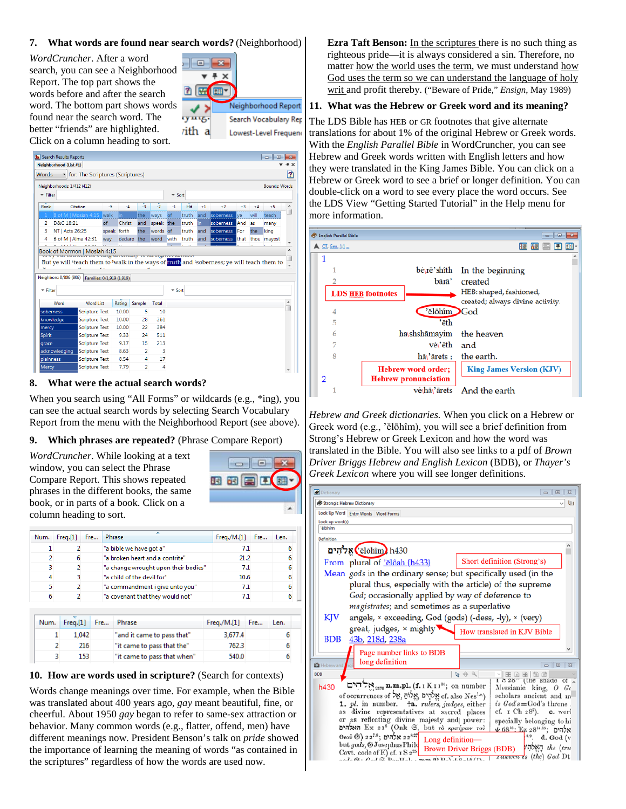#### **7. What words are found near search words?** (Neighborhood)

*WordCruncher*. After a word search, you can see a Neighborhood Report. The top part shows the words before and after the search word. The bottom part shows words found near the search word. The better "friends" are highlighted. Click on a column heading to sort.



| Neighborhood (List #1)                                                                                              |                                               |                                           |         |                |          |                               |       |      |           |      |      |                      |   |
|---------------------------------------------------------------------------------------------------------------------|-----------------------------------------------|-------------------------------------------|---------|----------------|----------|-------------------------------|-------|------|-----------|------|------|----------------------|---|
| <b>Words</b>                                                                                                        | • for: The Scriptures (Scriptures)            |                                           |         |                |          |                               |       |      |           |      |      |                      | Ť |
|                                                                                                                     |                                               |                                           |         |                |          |                               |       |      |           |      |      |                      |   |
| Neighborhoods: 1/412 (412)                                                                                          |                                               |                                           |         |                |          |                               |       |      |           |      |      | <b>Bounds: Words</b> |   |
| $\overline{\phantom{a}}$ Filter                                                                                     |                                               |                                           |         |                |          | $\overline{\phantom{a}}$ Sort |       |      |           |      |      |                      |   |
| Rank                                                                                                                | Citation                                      | $-5$                                      | $-4$    | -3             | $-2$     | $-1$                          | Hit   | $+1$ | $+2$      | $+3$ | $+4$ | $+5$                 | ۸ |
|                                                                                                                     | B of M   Mosiah 4:15                          | walk                                      | in.     | the            | ways     | of                            | truth | and  | soberness | ve   | will | teach                |   |
| D&C 18:21<br>2                                                                                                      |                                               | of                                        | Christ  | and            | speak    | the                           | truth | in   | soberness | And  | as   | many                 |   |
| NT   Acts 26:25<br>3                                                                                                |                                               | speak forth                               |         | the            | words of |                               | truth | and  | soberness | For  | the  | king                 |   |
| 4                                                                                                                   | B of M   Alma 42:31                           | way                                       | declare | the            | word     | with                          | truth | and  | soberness | that | thou | mayest               |   |
|                                                                                                                     |                                               | u.                                        |         |                |          |                               |       |      |           |      |      |                      |   |
| ä,                                                                                                                  | Book of Mormon   Mosiah 4:15<br>************* | <b>VALUE WAS VALUABLY TO MAK ANGALLUM</b> |         |                |          |                               |       |      |           |      |      |                      |   |
| But ye will <sup>s</sup> teach them to <sup>b</sup> walk in the ways of truth and 'soberness; ye will teach them to | Families: 0/1,919 (1,919)                     |                                           |         |                |          |                               |       |      |           |      |      |                      |   |
| Neighbors: 0/806 (806)<br>$\overline{\phantom{a}}$ Filter                                                           |                                               |                                           |         |                |          | $\overline{ }$ Sort           |       |      |           |      |      |                      |   |
| Word                                                                                                                | <b>Word List</b>                              |                                           | Rating  | Sample         | Total    |                               |       |      |           |      |      |                      |   |
|                                                                                                                     | <b>Scripture Text</b>                         |                                           | 10.00   | 5              | 10       |                               |       |      |           |      |      |                      |   |
|                                                                                                                     | <b>Scripture Text</b>                         |                                           | 10.00   | 28             | 361      |                               |       |      |           |      |      |                      |   |
|                                                                                                                     | <b>Scripture Text</b>                         |                                           | 10.00   | 22             | 384      |                               |       |      |           |      |      |                      |   |
|                                                                                                                     | <b>Scripture Text</b>                         |                                           | 9.33    | 24             | 511      |                               |       |      |           |      |      |                      |   |
|                                                                                                                     | <b>Scripture Text</b>                         |                                           | 9.17    | 15             | 213      |                               |       |      |           |      |      |                      |   |
|                                                                                                                     | <b>Scripture Text</b>                         |                                           | 8.63    | $\overline{2}$ | 3        |                               |       |      |           |      |      |                      |   |
| soberness<br>knowledge<br>mercy<br>Spirit<br>grace<br>acknowledging<br>plainness                                    | <b>Scripture Text</b>                         |                                           | 8.54    | 4              | 17       |                               |       |      |           |      |      |                      | A |

#### **8. What were the actual search words?**

When you search using "All Forms" or wildcards (e.g., \*ing), you can see the actual search words by selecting Search Vocabulary Report from the menu with the Neighborhood Report (see above).

#### **9. Which phrases are repeated?** (Phrase Compare Report)

*WordCruncher*. While looking at a text window, you can select the Phrase Compare Report. This shows repeated phrases in the different books, the same book, or in parts of a book. Click on a column heading to sort.

| Num. | Freq.[1] | Fre | Phrase                               | Freq/M.[1] | Fre | Len. |
|------|----------|-----|--------------------------------------|------------|-----|------|
|      |          |     | "a bible we have got a"              | 7.1        |     | 6    |
|      | 6        |     | "a broken heart and a contrite"      | 21.2       |     | 6    |
|      |          |     | "a change wrought upon their bodies" | 7.1        |     | 6    |
|      |          |     | "a child of the devil for"           | 10.6       |     | 6    |
|      |          |     | "a commandment i give unto you"      | 7.1        |     | 6    |
|      |          |     | "a covenant that they would not"     | 7.1        |     | 6    |

| Num. Freq.[1] Fre | Phrase                      | $Freq/M.[1]$ Fre | Len. |
|-------------------|-----------------------------|------------------|------|
| 1.042             | "and it came to pass that"  | 3,677.4          |      |
| 216               | "it came to pass that the"  | 762.3            |      |
| 153               | "it came to pass that when" | 540.0            |      |

#### **10. How are words used in scripture?** (Search for contexts)

Words change meanings over time. For example, when the Bible was translated about 400 years ago, *gay* meant beautiful, fine, or cheerful. About 1950 *gay* began to refer to same-sex attraction or behavior. Many common words (e.g., flatter, offend, men) have different meanings now. President Benson's talk on *pride* showed the importance of learning the meaning of words "as contained in the scriptures" regardless of how the words are used now.

**Ezra Taft Benson:** In the scriptures there is no such thing as righteous pride—it is always considered a sin. Therefore, no matter how the world uses the term, we must understand how God uses the term so we can understand the language of holy writ and profit thereby. ("Beware of Pride," *Ensign*, May 1989)

### **11. What was the Hebrew or Greek word and its meaning?**

The LDS Bible has HEB or GR footnotes that give alternate translations for about 1% of the original Hebrew or Greek words. With the *English Parallel Bible* in WordCruncher, you can see Hebrew and Greek words written with English letters and how they were translated in the King James Bible. You can click on a Hebrew or Greek word to see a brief or longer definition. You can double-click on a word to see every place the word occurs. See the LDS View "Getting Started Tutorial" in the Help menu for more information.

|   |   |                                        |                          | $\Box$<br>-33                                                                           |
|---|---|----------------------------------------|--------------------------|-----------------------------------------------------------------------------------------|
|   |   |                                        |                          |                                                                                         |
| 1 |   |                                        |                          |                                                                                         |
|   |   |                                        |                          | $be\$ r\bar{e}'shîth In the beginning                                                   |
|   |   |                                        | bārā'                    | created                                                                                 |
|   |   |                                        |                          | HEB: shaped, fashioned,                                                                 |
|   |   |                                        |                          | created; always divine activity.                                                        |
|   | 4 |                                        |                          |                                                                                         |
|   | 5 |                                        | 'ēth                     |                                                                                         |
|   | 6 |                                        |                          | the heaven                                                                              |
|   | 7 |                                        | vė\'ēth                  | and                                                                                     |
|   | 8 |                                        | hā\'ārets:               | the earth.                                                                              |
|   |   |                                        |                          | <b>King James Version (KJV)</b>                                                         |
| 2 |   |                                        |                          |                                                                                         |
|   |   |                                        |                          | vė\hā\'ārets And the earth                                                              |
|   |   | English Parallel Bible<br>OT, Gen. 1:1 | <b>LDS HEB footnotes</b> | 'ĕlōhîm God<br>hashshāmayim<br><b>Hebrew word order;</b><br><b>Hebrew pronunciation</b> |

*Hebrew and Greek dictionaries.* When you click on a Hebrew or Greek word (e.g., 'ĕlōhîm), you will see a brief definition from Strong's Hebrew or Greek Lexicon and how the word was translated in the Bible. You will also see links to a pdf of *Brown Driver Briggs Hebrew and English Lexicon* (BDB), or *Thayer's Greek Lexicon* where you will see longer definitions.

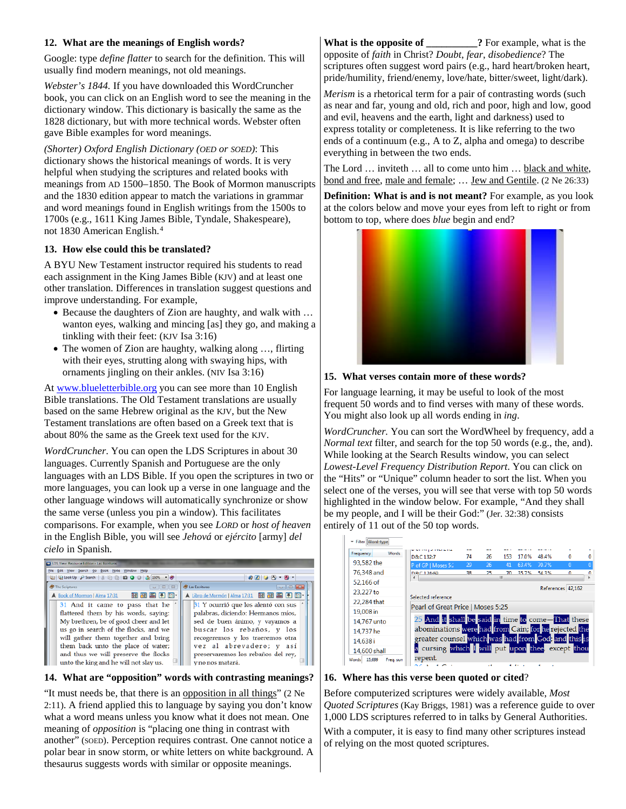#### **12. What are the meanings of English words?**

Google: type *define flatter* to search for the definition. This will usually find modern meanings, not old meanings.

*Webster's 1844.* If you have downloaded this WordCruncher book, you can click on an English word to see the meaning in the dictionary window. This dictionary is basically the same as the 1828 dictionary, but with more technical words. Webster often gave Bible examples for word meanings.

*(Shorter) Oxford English Dictionary (OED or SOED)*: This dictionary shows the historical meanings of words. It is very helpful when studying the scriptures and related books with meanings from AD 1500–1850. The Book of Mormon manuscripts and the 1830 edition appear to match the variations in grammar and word meanings found in English writings from the 1500s to 1700s (e.g., 1611 King James Bible, Tyndale, Shakespeare), not 1830 American English.[4](#page-4-4)

## **13. How else could this be translated?**

A BYU New Testament instructor required his students to read each assignment in the King James Bible (KJV) and at least one other translation. Differences in translation suggest questions and improve understanding. For example,

- Because the daughters of Zion are haughty, and walk with ... wanton eyes, walking and mincing [as] they go, and making a tinkling with their feet: (KJV Isa 3:16)
- The women of Zion are haughty, walking along ..., flirting with their eyes, strutting along with swaying hips, with ornaments jingling on their ankles. (NIV Isa 3:16)

A[t www.blueletterbible.org](http://www.blueletterbible.org/) you can see more than 10 English Bible translations. The Old Testament translations are usually based on the same Hebrew original as the KJV, but the New Testament translations are often based on a Greek text that is about 80% the same as the Greek text used for the KJV.

*WordCruncher*. You can open the LDS Scriptures in about 30 languages. Currently Spanish and Portuguese are the only languages with an LDS Bible. If you open the scriptures in two or more languages, you can look up a verse in one language and the other language windows will automatically synchronize or show the same verse (unless you pin a window). This facilitates comparisons. For example, when you see *LORD* or *host of heaven*  in the English Bible, you will see *Jehová* or *ejército* [army] *del cielo* in Spanish.



### **14. What are "opposition" words with contrasting meanings?**

"It must needs be, that there is an opposition in all things" (2 Ne 2:11). A friend applied this to language by saying you don't know what a word means unless you know what it does not mean. One meaning of *opposition* is "placing one thing in contrast with another" (SOED). Perception requires contrast. One cannot notice a polar bear in snow storm, or white letters on white background. A thesaurus suggests words with similar or opposite meanings.

**What is the opposite of 2** For example, what is the opposite of *faith* in Christ? *Doubt*, *fear*, *disobedience*? The scriptures often suggest word pairs (e.g., hard heart/broken heart, pride/humility, friend/enemy, love/hate, bitter/sweet, light/dark).

*Merism* is a rhetorical term for a pair of contrasting words (such as near and far, young and old, rich and poor, high and low, good and evil, heavens and the earth, light and darkness) used to express totality or completeness. It is like referring to the two ends of a continuum (e.g., A to Z, alpha and omega) to describe everything in between the two ends.

The Lord ... inviteth ... all to come unto him ... black and white, bond and free, male and female; … Jew and Gentile. (2 Ne 26:33)

**Definition: What is and is not meant?** For example, as you look at the colors below and move your eyes from left to right or from bottom to top, where does *blue* begin and end?



## **15. What verses contain more of these words?**

For language learning, it may be useful to look of the most frequent 50 words and to find verses with many of these words. You might also look up all words ending in *ing*.

*WordCruncher.* You can sort the WordWheel by frequency, add a *Normal text* filter, and search for the top 50 words (e.g., the, and). While looking at the Search Results window, you can select *Lowest-Level Frequency Distribution Report*. You can click on the "Hits" or "Unique" column header to sort the list. When you select one of the verses, you will see that verse with top 50 words highlighted in the window below. For example, "And they shall be my people, and I will be their God:" (Jer. 32:38) consists entirely of 11 out of the 50 top words.

| Filter Word-type          |                                                      |    |    |                   |       |       |                   |   |
|---------------------------|------------------------------------------------------|----|----|-------------------|-------|-------|-------------------|---|
| Frequency<br><b>Words</b> | D&C 132:7                                            | 74 | 26 | 153               | 17.0% | 48.4% | o                 | n |
| 93.582 the                | P of GP   Moses 5:2                                  | 29 | 26 | 41                | 63.4% | 70.7% | 0                 | 0 |
| 76,348 and                | D&C 124-60                                           | 38 | 25 | $70^{\circ}$<br>Ш | 35.7% | 54.3% | n                 | n |
| 52.166 of                 |                                                      |    |    |                   |       |       |                   |   |
| 23,227 to                 |                                                      |    |    |                   |       |       | References 42,162 |   |
| 22.284 that               | Selected reference                                   |    |    |                   |       |       |                   |   |
| 19,008 in                 | Pearl of Great Price   Moses 5:25                    |    |    |                   |       |       |                   |   |
| 14,767 unto               | 25 And it shall be said in time to come-That these   |    |    |                   |       |       |                   |   |
| 14.737 he                 | abominations were had from Cain; for he rejected the |    |    |                   |       |       |                   |   |
| 14,638i                   | greater counsel which was had from God, and this is  |    |    |                   |       |       |                   |   |
| 14.600 shall              | a cursing which I will put upon thee, except thou    |    |    |                   |       |       |                   |   |
| Words 15,699<br>Freq. sum | repent.                                              |    |    |                   |       |       |                   |   |
|                           |                                                      |    | 44 |                   |       | ٠     |                   |   |

<span id="page-2-0"></span>**16. Where has this verse been quoted or cited**?

Before computerized scriptures were widely available, *Most Quoted Scriptures* (Kay Briggs, 1981) was a reference guide to over 1,000 LDS scriptures referred to in talks by General Authorities.

With a computer, it is easy to find many other scriptures instead of relying on the most quoted scriptures.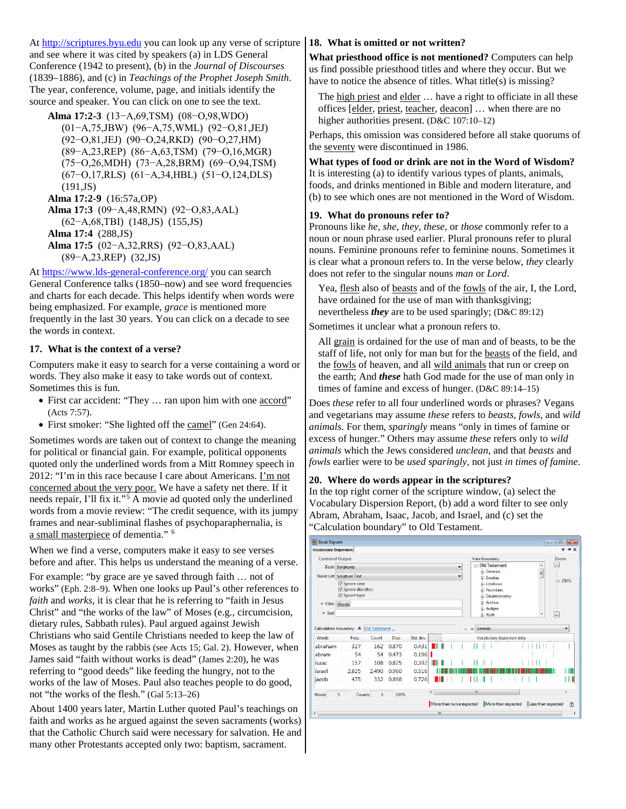At [http://scriptures.byu.edu](http://scriptures.byu.edu/) you can look up any verse of scripture and see where it was cited by speakers (a) in LDS General Conference (1942 to present), (b) in the *Journal of Discourses* (1839–1886), and (c) in *Teachings of the Prophet Joseph Smith*. The year, conference, volume, page, and initials identify the source and speaker. You can click on one to see the text.

**[Alma 17:2-3](javascript:void(0);)** ([13−A,69,TSM](javascript:void(0);)) ([08−O,98,WDO](javascript:void(0);))

([01−A,75,JBW](javascript:void(0);)) ([96−A,75,WML](javascript:void(0);)) ([92−O,81,JEJ](javascript:void(0);)) ([92−O,81,JEJ](javascript:void(0);)) ([90−O,24,RKD](javascript:void(0);)) ([90−O,27,HM](javascript:void(0);)) ([89−A,23,REP](javascript:void(0);)) ([86−A,63,TSM](javascript:void(0);)) ([79−O,16,MGR](javascript:void(0);)) ([75−O,26,MDH](javascript:void(0);)) ([73−A,28,BRM](javascript:void(0);)) ([69−O,94,TSM](javascript:void(0);)) ([67−O,17,RLS](javascript:void(0);)) ([61−A,34,HBL](javascript:void(0);)) ([51−O,124,DLS](javascript:void(0);))  $(191, JS)$ 

**[Alma 17:2-9](javascript:void(0);)** [\(16:57a,OP\)](javascript:void(0);) **[Alma 17:3](javascript:void(0);)** ([09−A,48,RMN](javascript:void(0);)) ([92−O,83,AAL](javascript:void(0);)) ([62−A,68,TBI](javascript:void(0);)) [\(148,JS\)](http://scriptures.byu.edu/stpjs.html#148) [\(155,JS\)](http://scriptures.byu.edu/stpjs.html#155) **[Alma 17:4](javascript:void(0);)** [\(288,JS\)](http://scriptures.byu.edu/stpjs.html#288) **[Alma 17:5](javascript:void(0);)** ([02−A,32,RRS](javascript:void(0);)) ([92−O,83,AAL](javascript:void(0);)) ([89−A,23,REP](javascript:void(0);)) [\(32,JS\)](http://scriptures.byu.edu/stpjs.html#32)

At<https://www.lds-general-conference.org/> you can search General Conference talks (1850–now) and see word frequencies and charts for each decade. This helps identify when words were being emphasized. For example, *grace* is mentioned more frequently in the last 30 years. You can click on a decade to see the words in context.

#### **17. What is the context of a verse?**

Computers make it easy to search for a verse containing a word or words. They also make it easy to take words out of context. Sometimes this is fun.

- First car accident: "They ... ran upon him with one accord" (Acts 7:57).
- First smoker: "She lighted off the camel" (Gen 24:64).

Sometimes words are taken out of context to change the meaning for political or financial gain. For example, political opponents quoted only the underlined words from a Mitt Romney speech in 2012: "I'm in this race because I care about Americans. I'm not concerned about the very poor. We have a safety net there. If it needs repair, I'll fix it."[5](#page-4-5) A movie ad quoted only the underlined words from a movie review: "The credit sequence, with its jumpy frames and near-subliminal flashes of psychoparaphernalia, is a small masterpiece of dementia." [6](#page-4-6)

When we find a verse, computers make it easy to see verses before and after. This helps us understand the meaning of a verse.

For example: "by grace are ye saved through faith … not of works" (Eph. 2:8–9). When one looks up Paul's other references to *faith* and *works*, it is clear that he is referring to "faith in Jesus Christ" and "the works of the law" of Moses (e.g., circumcision, dietary rules, Sabbath rules). Paul argued against Jewish Christians who said Gentile Christians needed to keep the law of Moses as taught by the rabbis (see Acts 15; Gal. 2). However, when James said "faith without works is dead" (James 2:20), he was referring to "good deeds" like feeding the hungry, not to the works of the law of Moses. Paul also teaches people to do good, not "the works of the flesh." (Gal 5:13–26)

About 1400 years later, Martin Luther quoted Paul's teachings on faith and works as he argued against the seven sacraments (works) that the Catholic Church said were necessary for salvation. He and many other Protestants accepted only two: baptism, sacrament.

#### **18. What is omitted or not written?**

**What priesthood office is not mentioned?** Computers can help us find possible priesthood titles and where they occur. But we have to notice the absence of titles. What title(s) is missing?

The high priest and elder … have a right to officiate in all these offices [elder, priest, teacher, deacon] … when there are no higher authorities present. (D&C 107:10-12)

Perhaps, this omission was considered before all stake quorums of the seventy were discontinued in 1986.

# **What types of food or drink are not in the Word of Wisdom?**

It is interesting (a) to identify various types of plants, animals, foods, and drinks mentioned in Bible and modern literature, and (b) to see which ones are not mentioned in the Word of Wisdom.

#### **19. What do pronouns refer to?**

Pronouns like *he, she, they, these,* or *those* commonly refer to a noun or noun phrase used earlier. Plural pronouns refer to plural nouns. Feminine pronouns refer to feminine nouns. Sometimes it is clear what a pronoun refers to. In the verse below, *they* clearly does not refer to the singular nouns *man* or *Lord*.

Yea, flesh also of beasts and of the fowls of the air, I, the Lord, have ordained for the use of man with thanksgiving; nevertheless *they* are to be used sparingly; (D&C 89:12)

Sometimes it unclear what a pronoun refers to.

All grain is ordained for the use of man and of beasts, to be the staff of life, not only for man but for the beasts of the field, and the fowls of heaven, and all wild animals that run or creep on the earth; And *these* hath God made for the use of man only in times of famine and excess of hunger. (D&C 89:14–15)

Does *these* refer to all four underlined words or phrases? Vegans and vegetarians may assume *these* refers to *beasts*, *fowls*, and *wild animals*. For them, *sparingly* means "only in times of famine or excess of hunger." Others may assume *these* refers only to *wild animals* which the Jews considered *unclean,* and that *beasts* and *fowls* earlier were to be *used sparingly*, not just *in times of famine*.

#### **20. Where do words appear in the scriptures?**

In the top right corner of the scripture window, (a) select the Vocabulary Dispersion Report, (b) add a word filter to see only Abram, Abraham, Isaac, Jacob, and Israel, and (c) set the "Calculation boundary" to Old Testament.

|                                                     | <b>Vocabulary Dispersion</b>                   |       |       |           |            |  |                                                      |                |                                   |                            |  |  |   |      |        |
|-----------------------------------------------------|------------------------------------------------|-------|-------|-----------|------------|--|------------------------------------------------------|----------------|-----------------------------------|----------------------------|--|--|---|------|--------|
| <b>Control of Output</b>                            |                                                |       |       |           |            |  |                                                      |                | View boundary                     |                            |  |  |   | Zoom |        |
|                                                     | <b>Book Scriptures</b>                         |       |       |           |            |  | ۰                                                    |                | □ Old Testament<br><b>Genesis</b> |                            |  |  | ▲ | ×.   |        |
|                                                     | Word List Scripture Text                       |       |       |           |            |  | ۰                                                    | E<br>di-Exodus |                                   |                            |  |  |   |      |        |
| V Ignore case<br>V Ignore diacritics<br>Ignore type |                                                |       |       |           |            |  | $-150%$<br>di-Leviticus<br>d. Numbers<br>Deuteronomy |                |                                   |                            |  |  |   |      |        |
|                                                     |                                                |       |       |           |            |  |                                                      |                |                                   |                            |  |  |   |      |        |
| - Filter Words                                      |                                                |       |       |           |            |  |                                                      |                | di-Joshua                         |                            |  |  |   | ۰    |        |
|                                                     |                                                |       |       |           |            |  |                                                      |                | <b>in-Judges</b>                  |                            |  |  |   |      |        |
|                                                     |                                                |       |       |           |            |  |                                                      |                |                                   |                            |  |  |   |      |        |
| $\overline{\phantom{a}}$ Sort                       |                                                |       |       |           |            |  |                                                      |                | in Ruth<br><b>Genesis</b>         |                            |  |  | ۳ | l+.  | ۰      |
| <b>Words</b>                                        | Calculation boundary: A Old Testament<br>Freq. | Count | Disp. | Std. dev. |            |  |                                                      |                |                                   | Vocabulary dispersion data |  |  |   |      |        |
| abraham                                             | 327                                            | 162   | 0.870 | 0.431     | -11        |  |                                                      |                |                                   |                            |  |  |   |      |        |
| abram                                               | 54                                             | 54    | 0.473 | 0.196     |            |  |                                                      |                |                                   |                            |  |  |   |      |        |
| isaac                                               | 157                                            | 108   | 0.825 | 0.392     | Ш<br>Ш     |  |                                                      |                |                                   |                            |  |  |   |      |        |
| israel                                              | 2.825                                          | 2.490 | 0.960 | 0.516     |            |  |                                                      |                |                                   |                            |  |  |   |      |        |
| jacob                                               | 475                                            | 332   | 0.898 | 0.726     |            |  |                                                      |                |                                   |                            |  |  |   |      | Ш<br>Ш |
|                                                     |                                                |       |       |           | $\epsilon$ |  |                                                      | m              |                                   |                            |  |  |   |      | ×.     |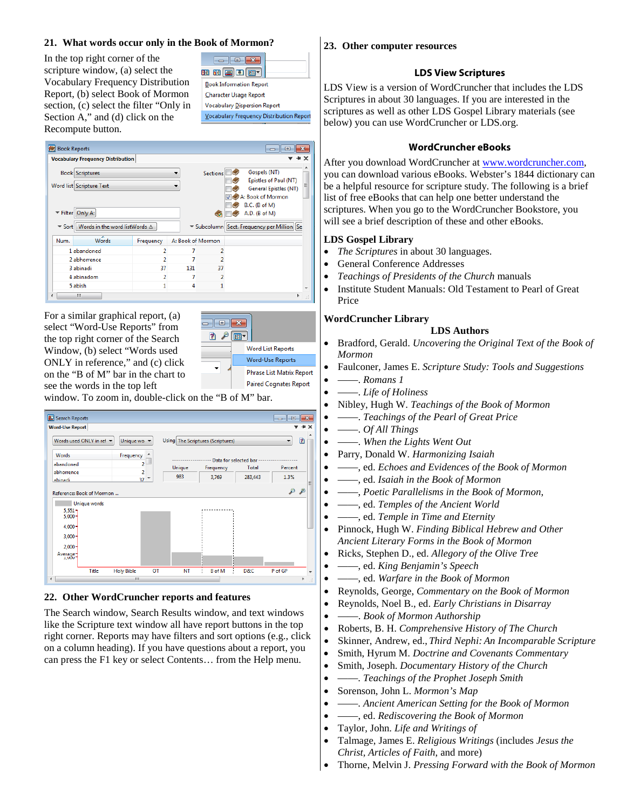#### **21. What words occur only in the Book of Mormon?**

<span id="page-4-2"></span><span id="page-4-1"></span>In the top right corner of the scripture window, (a) select the Vocabulary Frequency Distribution Report, (b) select Book of Mormon section, (c) select the filter "Only in Section A," and (d) click on the Recompute button.

| <u> - 1 - 2 - 1</u>                           |
|-----------------------------------------------|
| <b>BBBDD</b>                                  |
| <b>Book Information Report</b>                |
| <b>Character Usage Report</b>                 |
| <b>Vocabulary Dispersion Report</b>           |
| <b>Vocabulary Frequency Distribution Repo</b> |
|                                               |

<span id="page-4-6"></span><span id="page-4-5"></span><span id="page-4-4"></span><span id="page-4-3"></span>

|      | <b>Vocabulary Frequency Distribution</b>                             |                          |                   |                          |                                                                |
|------|----------------------------------------------------------------------|--------------------------|-------------------|--------------------------|----------------------------------------------------------------|
|      | <b>Book Scriptures</b><br>Word list Scripture Text                   |                          |                   | <b>Sections</b>          | Gospels (NT)<br>Epistles of Paul (NT)<br>General Epistles (NT) |
|      | Filter Only A:                                                       |                          |                   | $\overline{\phantom{a}}$ | A: Book of Mormon<br>B.C. (B of M)<br>$A.D.$ ( $B$ of $M$ )    |
|      | $\blacktriangleright$ Sort   Words in the word listWords $\triangle$ |                          |                   |                          | ▼ Subcolumn Sect. Frequency per Million Se                     |
|      | ≖                                                                    | Frequency                | A: Book of Mormon |                          |                                                                |
| Num. | <b>Words</b>                                                         |                          |                   |                          |                                                                |
|      | 1 abandoned                                                          | 2                        |                   | 2                        |                                                                |
|      | 2 abhorrence                                                         | 2                        | 7                 |                          |                                                                |
|      | 3 abinadi                                                            | 37                       | 131               | 37                       |                                                                |
|      | 4 abinadom                                                           | $\overline{\phantom{a}}$ | 7                 |                          |                                                                |

For a similar graphical report, (a) select "Word-Use Reports" from the top right corner of the Search Window, (b) select "Words used ONLY in reference," and (c) click on the "B of M" bar in the chart to see the words in the top left



window. To zoom in, double-click on the "B of M" bar.



#### **22. Other WordCruncher reports and features**

The Search window, Search Results window, and text windows like the Scripture text window all have report buttons in the top right corner. Reports may have filters and sort options (e.g., click on a column heading). If you have questions about a report, you can press the F1 key or select Contents… from the Help menu.

#### <span id="page-4-0"></span>**23. Other computer resources**

#### **LDS View Scriptures**

LDS View is a version of WordCruncher that includes the LDS Scriptures in about 30 languages. If you are interested in the scriptures as well as other LDS Gospel Library materials (see below) you can use WordCruncher or LDS.org.

#### **WordCruncher eBooks**

After you download WordCruncher at www.wordcruncher.com, you can download various eBooks. Webster's 1844 dictionary can be a helpful resource for scripture study. The following is a brief list of free eBooks that can help one better understand the scriptures. When you go to the WordCruncher Bookstore, you will see a brief description of these and other eBooks.

#### **LDS Gospel Library**

- *The Scriptures* in about 30 languages.
- General Conference Addresses
- *Teachings of Presidents of the Church* manuals
- Institute Student Manuals: Old Testament to Pearl of Great Price

#### **WordCruncher Library LDS Authors**

- Bradford, Gerald. *Uncovering the Original Text of the Book of Mormon*
- Faulconer, James E. *Scripture Study: Tools and Suggestions*
- ——. *Romans 1*
- ——. *Life of Holiness*
- Nibley, Hugh W. *Teachings of the Book of Mormon*
- ——. *Teachings of the Pearl of Great Price*
- ——. *Of All Things*
- ——. *When the Lights Went Out*
- Parry, Donald W. *Harmonizing Isaiah*
- ——, ed. *Echoes and Evidences of the Book of Mormon*
- ——, ed. *Isaiah in the Book of Mormon*
- ——, *Poetic Parallelisms in the Book of Mormon*,
- ——, ed. *Temples of the Ancient World*
- ——, ed. *Temple in Time and Eternity*
- Pinnock, Hugh W. *Finding Biblical Hebrew and Other Ancient Literary Forms in the Book of Mormon*
- Ricks, Stephen D., ed. *Allegory of the Olive Tree*
- ——, ed. *King Benjamin's Speech*
- ——, ed. *Warfare in the Book of Mormon*
- Reynolds, George, *Commentary on the Book of Mormon*
- Reynolds, Noel B., ed. *Early Christians in Disarray*
- ——. *Book of Mormon Authorship*
- Roberts, B. H. *Comprehensive History of The Church*
- Skinner, Andrew, ed., *Third Nephi: An Incomparable Scripture*
- Smith, Hyrum M. *Doctrine and Covenants Commentary*
- Smith, Joseph. *Documentary History of the Church*
- ——. *Teachings of the Prophet Joseph Smith*
- Sorenson, John L. *Mormon's Map*
- ——. *Ancient American Setting for the Book of Mormon*
- ——, ed. *Rediscovering the Book of Mormon*
- Taylor, John. *Life and Writings of*
- Talmage, James E. *Religious Writings* (includes *Jesus the Christ, Articles of Faith*, and more)
- Thorne, Melvin J. *Pressing Forward with the Book of Mormon*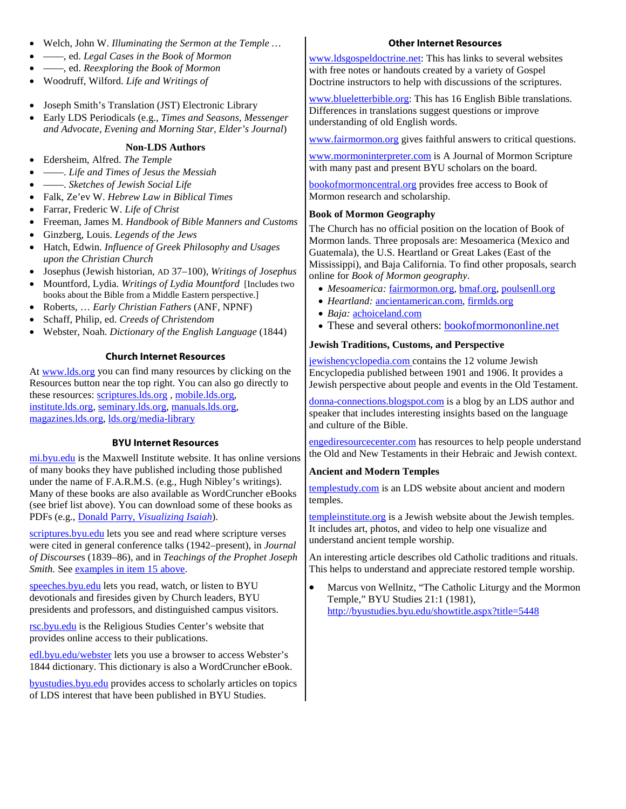#### • Welch, John W. *Illuminating the Sermon at the Temple …*

- ——, ed. *Legal Cases in the Book of Mormon*
- ——, ed. *Reexploring the Book of Mormon*
- Woodruff, Wilford. *Life and Writings of*
- Joseph Smith's Translation (JST) Electronic Library
- Early LDS Periodicals (e.g., *Times and Seasons, Messenger and Advocate, Evening and Morning Star, Elder's Journal*)

#### **Non-LDS Authors**

- Edersheim, Alfred. *The Temple*
- ——. *Life and Times of Jesus the Messiah*
- ——. *Sketches of Jewish Social Life*
- Falk, Ze'ev W. *Hebrew Law in Biblical Times*
- Farrar, Frederic W. *Life of Christ*
- Freeman, James M. *Handbook of Bible Manners and Customs*
- Ginzberg, Louis. *Legends of the Jews*
- Hatch, Edwin. *Influence of Greek Philosophy and Usages upon the Christian Church*
- Josephus (Jewish historian, AD 37–100), *Writings of Josephus*
- Mountford, Lydia. *Writings of Lydia Mountford* [Includes two books about the Bible from a Middle Eastern perspective.]
- Roberts, … *Early Christian Fathers* (ANF, NPNF)
- Schaff, Philip, ed. *Creeds of Christendom*
- Webster, Noah. *Dictionary of the English Language* (1844)

#### **Church Internet Resources**

At [www.lds.org](http://www.lds.org/) you can find many resources by clicking on the Resources button near the top right. You can also go directly to these resources: [scriptures.lds.org](http://scriptures.lds.org/) , [mobile.lds.org,](http://mobile.lds.org/) [institute.lds.org,](http://institute.lds.org/) [seminary.lds.org,](http://seminary.lds.org/) [manuals.lds.org,](http://manuals.lds.org/) [magazines.lds.org,](http://magazines.lds.org/) [lds.org/media-library](http://lds.org/media-library)

#### **BYU Internet Resources**

[mi.byu.edu](http://mi.byu.edu/) is the Maxwell Institute website. It has online versions of many books they have published including those published under the name of F.A.R.M.S. (e.g., Hugh Nibley's writings). Many of these books are also available as WordCruncher eBooks (see brief list above). You can download some of these books as PDFs (e.g., Donald Parry, *[Visualizing Isaiah](http://publications.maxwellinstitute.byu.edu/book/visualizing-isaiah/)*).

[scriptures.byu.edu](http://scriptures.byu.edu/) lets you see and read where scripture verses were cited in general conference talks (1942–present), in *Journal of Discourse*s (1839–86), and in *Teachings of the Prophet Joseph Smith.* Se[e examples in item 15 above.](#page-2-0)

speeches.byu.edu lets you read, watch, or listen to BYU devotionals and firesides given by Church leaders, BYU presidents and professors, and distinguished campus visitors.

[rsc.byu.edu](http://rsc.byu.edu/) is the Religious Studies Center's website that provides online access to their publications.

[edl.byu.edu/webster](http://edl.byu.edu/webster) lets you use a browser to access Webster's 1844 dictionary. This dictionary is also a WordCruncher eBook.

[byustudies.byu.edu](http://byustudies.byu.edu/) provides access to scholarly articles on topics of LDS interest that have been published in BYU Studies.

#### **Other Internet Resources**

[www.ldsgospeldoctrine.net:](http://www.ldsgospeldoctrine.net/) This has links to several websites with free notes or handouts created by a variety of Gospel Doctrine instructors to help with discussions of the scriptures.

[www.blueletterbible.org:](http://www.blueletterbible.org/) This has 16 English Bible translations. Differences in translations suggest questions or improve understanding of old English words.

[www.fairmormon.org](http://www.fairmormon.org/) gives faithful answers to critical questions.

[www.mormoninterpreter.com](http://www.mormoninterpreter.com/) is A Journal of Mormon Scripture with many past and present BYU scholars on the board.

[bookofmormoncentral.org](https://bookofmormoncentral.org/) provides free access to Book of Mormon research and scholarship.

#### **Book of Mormon Geography**

The Church has no official position on the location of Book of Mormon lands. Three proposals are: Mesoamerica (Mexico and Guatemala), the U.S. Heartland or Great Lakes (East of the Mississippi), and Baja California. To find other proposals, search online for *Book of Mormon geography*.

- *Mesoamerica:* [fairmormon.org,](http://fairmormon.org/) [bmaf.org,](http://bmaf.org/) [poulsenll.org](http://www.poulsenll.org/)
- *Heartland:* [ancientamerican.com,](http://ancientamerican.com/) [firmlds.org](http://www.firmlds.org/)
- *Baja:* [achoiceland.com](http://www.achoiceland.com/)
- These and several others: **bookofmormononline**.net

#### **Jewish Traditions, Customs, and Perspective**

[jewishencyclopedia.com](http://www.jewishencyclopedia.com/) contains the 12 volume Jewish Encyclopedia published between 1901 and 1906. It provides a Jewish perspective about people and events in the Old Testament.

[donna-connections.blogspot.com](http://www.donna-connections.blogspot.com/) is a blog by an LDS author and speaker that includes interesting insights based on the language and culture of the Bible.

[engediresourcecenter.com](http://engediresourcecenter.com/) has resources to help people understand the Old and New Testaments in their Hebraic and Jewish context.

#### **Ancient and Modern Temples**

[templestudy.com](http://www.templestudy.com/) is an LDS website about ancient and modern temples.

[templeinstitute.org](http://www.templeinstitute.org/) is a Jewish website about the Jewish temples. It includes art, photos, and video to help one visualize and understand ancient temple worship.

An interesting article describes old Catholic traditions and rituals. This helps to understand and appreciate restored temple worship.

• Marcus von Wellnitz, "The Catholic Liturgy and the Mormon Temple," BYU Studies 21:1 (1981), <http://byustudies.byu.edu/showtitle.aspx?title=5448>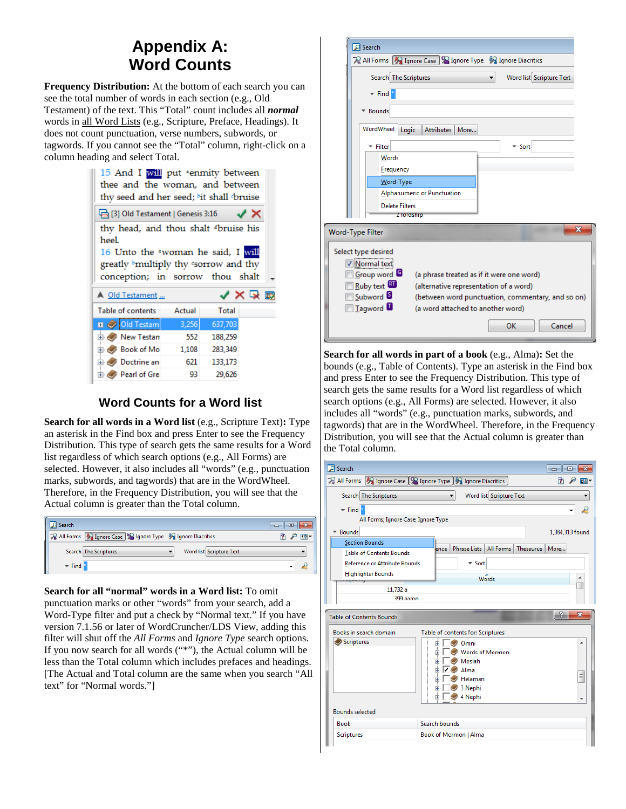# **Appendix A: Word Counts**

<span id="page-6-0"></span>**Frequency Distribution:** At the bottom of each search you can see the total number of words in each section (e.g., Old Testament) of the text. This "Total" count includes all *normal* words in all Word Lists (e.g., Scripture, Preface, Headings). It does not count punctuation, verse numbers, subwords, or tagwords. If you cannot see the "Total" column, right-click on a column heading and select Total.

|                                                                                                                                                                              |        |         | thy seed and her seed; bit shall bruise |  |
|------------------------------------------------------------------------------------------------------------------------------------------------------------------------------|--------|---------|-----------------------------------------|--|
| □ [3] Old Testament   Genesis 3:16                                                                                                                                           |        |         | $\times$                                |  |
| thy head, and thou shalt dbruise his<br>heel.<br>16 Unto the "woman he said, I will<br>greatly <sup>b</sup> multiply thy 'sorrow and thy<br>conception; in sorrow thou shalt |        |         |                                         |  |
|                                                                                                                                                                              |        |         |                                         |  |
| A Old Testament                                                                                                                                                              |        |         | ✔Ⅹ♀⊞                                    |  |
| Table of contents                                                                                                                                                            | Actual | Total   |                                         |  |
| <b>D</b> Old Testam                                                                                                                                                          | 3,256  | 637,703 |                                         |  |
| <b>E</b> New Testan                                                                                                                                                          | 552    | 188,259 |                                         |  |
| <b>E</b> Book of Mo                                                                                                                                                          | 1,108  | 283,349 |                                         |  |
| <b>E</b> <i>Doctrine</i> an                                                                                                                                                  | 621    | 133,173 |                                         |  |

# **Word Counts for a Word list**

**Search for all words in a Word list** (e.g., Scripture Text)**:** Type an asterisk in the Find box and press Enter to see the Frequency Distribution. This type of search gets the same results for a Word list regardless of which search options (e.g., All Forms) are selected. However, it also includes all "words" (e.g., punctuation marks, subwords, and tagwords) that are in the WordWheel. Therefore, in the Frequency Distribution, you will see that the Actual column is greater than the Total column.

| Search <sup>®</sup>                                         |  |
|-------------------------------------------------------------|--|
| 又 All Forms 3 Ignore Case 3 Ignore Type 3 Ignore Diacritics |  |
| Word list Scripture Text<br>Search The Scriptures           |  |
| $\blacktriangleright$ Find                                  |  |

**Search for all "normal" words in a Word list:** To omit

punctuation marks or other "words" from your search, add a Word-Type filter and put a check by "Normal text." If you have version 7.1.56 or later of WordCruncher/LDS View, adding this filter will shut off the *All Forms* and *Ignore Type* search options. If you now search for all words ("\*"), the Actual column will be less than the Total column which includes prefaces and headings. [The Actual and Total column are the same when you search "All text" for "Normal words."]



**Search for all words in part of a book** (e.g., Alma)**:** Set the bounds (e.g., Table of Contents). Type an asterisk in the Find box and press Enter to see the Frequency Distribution. This type of search gets the same results for a Word list regardless of which search options (e.g., All Forms) are selected. However, it also includes all "words" (e.g., punctuation marks, subwords, and tagwords) that are in the WordWheel. Therefore, in the Frequency Distribution, you will see that the Actual column is greater than the Total column.